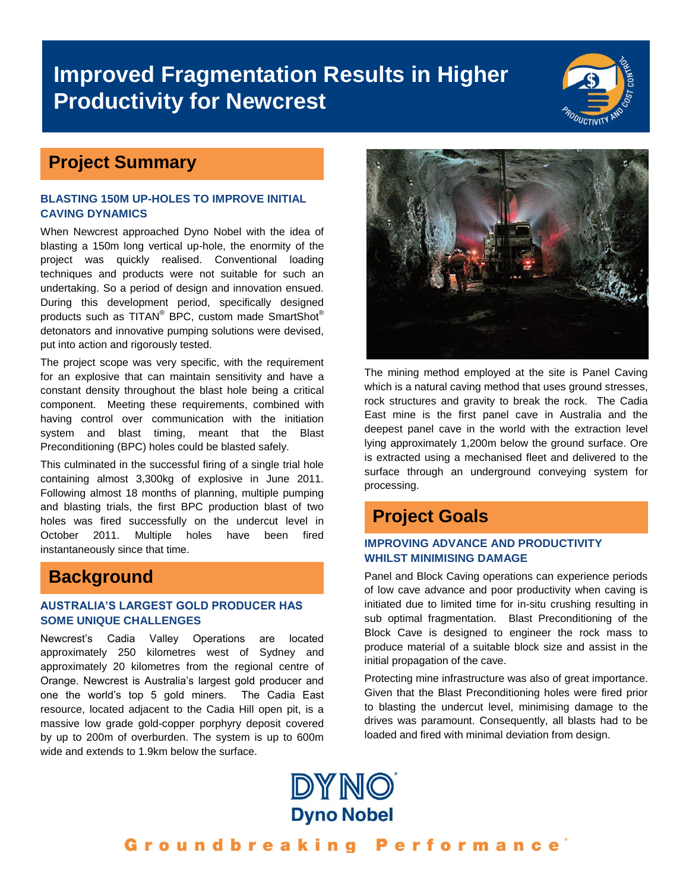# **Improved Fragmentation Results in Higher Productivity for Newcrest**



### **Project Summary**

#### **BLASTING 150M UP-HOLES TO IMPROVE INITIAL CAVING DYNAMICS**

When Newcrest approached Dyno Nobel with the idea of blasting a 150m long vertical up-hole, the enormity of the project was quickly realised. Conventional loading techniques and products were not suitable for such an undertaking. So a period of design and innovation ensued. During this development period, specifically designed products such as TITAN® BPC, custom made SmartShot® detonators and innovative pumping solutions were devised, put into action and rigorously tested.

The project scope was very specific, with the requirement for an explosive that can maintain sensitivity and have a constant density throughout the blast hole being a critical component. Meeting these requirements, combined with having control over communication with the initiation system and blast timing, meant that the Blast Preconditioning (BPC) holes could be blasted safely.

This culminated in the successful firing of a single trial hole containing almost 3,300kg of explosive in June 2011. Following almost 18 months of planning, multiple pumping and blasting trials, the first BPC production blast of two holes was fired successfully on the undercut level in October 2011. Multiple holes have been fired instantaneously since that time.

### **Background**

#### **AUSTRALIA'S LARGEST GOLD PRODUCER HAS SOME UNIQUE CHALLENGES**

Newcrest's Cadia Valley Operations are located approximately 250 kilometres west of Sydney and approximately 20 kilometres from the regional centre of Orange. Newcrest is Australia's largest gold producer and one the world's top 5 gold miners. The Cadia East resource, located adjacent to the Cadia Hill open pit, is a massive low grade gold-copper porphyry deposit covered by up to 200m of overburden. The system is up to 600m wide and extends to 1.9km below the surface.



The mining method employed at the site is Panel Caving which is a natural caving method that uses ground stresses, rock structures and gravity to break the rock. The Cadia East mine is the first panel cave in Australia and the deepest panel cave in the world with the extraction level lying approximately 1,200m below the ground surface. Ore is extracted using a mechanised fleet and delivered to the surface through an underground conveying system for processing.

### **Project Goals**

#### **IMPROVING ADVANCE AND PRODUCTIVITY WHILST MINIMISING DAMAGE**

Panel and Block Caving operations can experience periods of low cave advance and poor productivity when caving is initiated due to limited time for in-situ crushing resulting in sub optimal fragmentation. Blast Preconditioning of the Block Cave is designed to engineer the rock mass to produce material of a suitable block size and assist in the initial propagation of the cave.

Protecting mine infrastructure was also of great importance. Given that the Blast Preconditioning holes were fired prior to blasting the undercut level, minimising damage to the drives was paramount. Consequently, all blasts had to be loaded and fired with minimal deviation from design.



Groundbreaking Performance<sup>®</sup>